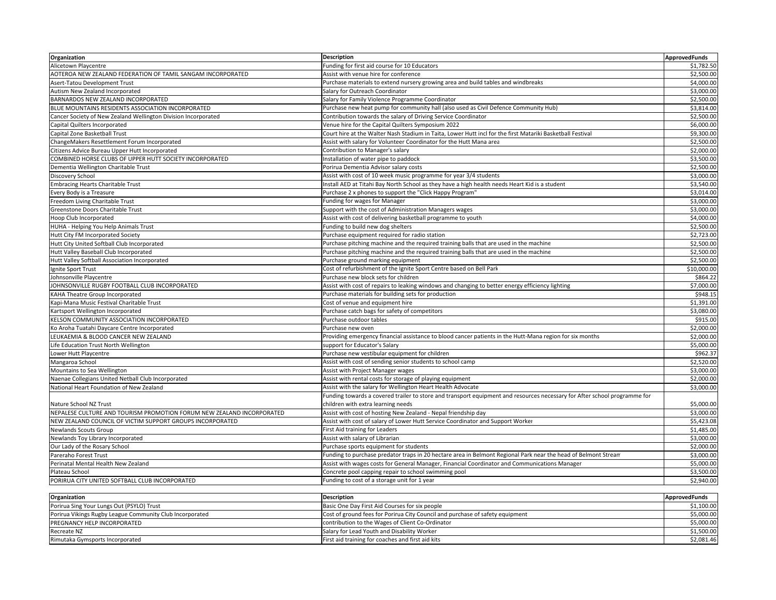| Organization                                                          | <b>Description</b>                                                                                                        | <b>ApprovedFunds</b> |
|-----------------------------------------------------------------------|---------------------------------------------------------------------------------------------------------------------------|----------------------|
| Alicetown Playcentre                                                  | Funding for first aid course for 10 Educators                                                                             | \$1,782.50           |
| AOTEROA NEW ZEALAND FEDERATION OF TAMIL SANGAM INCORPORATED           | Assist with venue hire for conference                                                                                     | \$2,500.00           |
| Asert-Tatou Development Trust                                         | Purchase materials to extend nursery growing area and build tables and windbreaks                                         | \$4,000.00           |
| Autism New Zealand Incorporated                                       | Salary for Outreach Coordinator                                                                                           | \$3,000.00           |
| BARNARDOS NEW ZEALAND INCORPORATED                                    | Salary for Family Violence Programme Coordinator                                                                          | \$2,500.00           |
| BLUE MOUNTAINS RESIDENTS ASSOCIATION INCORPORATED                     | Purchase new heat pump for community hall (also used as Civil Defence Community Hub)                                      | \$3,814.00           |
| Cancer Society of New Zealand Wellington Division Incorporated        | Contribution towards the salary of Driving Service Coordinator                                                            | \$2,500.00           |
| Capital Quilters Incorporated                                         | Venue hire for the Capital Quilters Symposium 2022                                                                        | \$6,000.00           |
| Capital Zone Basketball Trust                                         | Court hire at the Walter Nash Stadium in Taita, Lower Hutt incl for the first Matariki Basketball Festival                | \$9,300.00           |
| ChangeMakers Resettlement Forum Incorporated                          | Assist with salary for Volunteer Coordinator for the Hutt Mana area                                                       | \$2,500.00           |
| Citizens Advice Bureau Upper Hutt Incorporated                        | Contribution to Manager's salary                                                                                          | \$2,000.00           |
| COMBINED HORSE CLUBS OF UPPER HUTT SOCIETY INCORPORATED               | Installation of water pipe to paddock                                                                                     | \$3,500.00           |
| Dementia Wellington Charitable Trust                                  | Porirua Dementia Advisor salary costs                                                                                     | \$2,500.00           |
| Discovery School                                                      | Assist with cost of 10 week music programme for year 3/4 students                                                         | \$3,000.00           |
| <b>Embracing Hearts Charitable Trust</b>                              | Install AED at Titahi Bay North School as they have a high health needs Heart Kid is a student                            | \$3,540.00           |
| Every Body is a Treasure                                              | Purchase 2 x phones to support the "Click Happy Program"                                                                  | \$3,014.00           |
| Freedom Living Charitable Trust                                       | Funding for wages for Manager                                                                                             | \$3,000.00           |
| Greenstone Doors Charitable Trust                                     | Support with the cost of Administration Managers wages                                                                    | \$3,000.00           |
| Hoop Club Incorporated                                                | Assist with cost of delivering basketball programme to youth                                                              | \$4,000.00           |
| HUHA - Helping You Help Animals Trust                                 | Funding to build new dog shelters                                                                                         | \$2,500.00           |
| Hutt City FM Incorporated Society                                     | Purchase equipment required for radio station                                                                             | \$2,723.00           |
| Hutt City United Softball Club Incorporated                           | Purchase pitching machine and the required training balls that are used in the machine                                    | \$2,500.00           |
| Hutt Valley Baseball Club Incorporated                                | Purchase pitching machine and the required training balls that are used in the machine                                    | \$2,500.00           |
| Hutt Valley Softball Association Incorporated                         | Purchase ground marking equipment                                                                                         | \$2,500.00           |
| Ignite Sport Trust                                                    | Cost of refurbishment of the Ignite Sport Centre based on Bell Park                                                       | \$10,000.00          |
| Johnsonville Playcentre                                               | Purchase new block sets for children                                                                                      | \$864.22             |
| JOHNSONVILLE RUGBY FOOTBALL CLUB INCORPORATED                         | Assist with cost of repairs to leaking windows and changing to better energy efficiency lighting                          | \$7,000.00           |
| KAHA Theatre Group Incorporated                                       | Purchase materials for building sets for production                                                                       | \$948.15             |
| Kapi-Mana Music Festival Charitable Trust                             | Cost of venue and equipment hire                                                                                          | \$1,391.00           |
| Kartsport Wellington Incorporated                                     | Purchase catch bags for safety of competitors                                                                             | \$3,080.00           |
| KELSON COMMUNITY ASSOCIATION INCORPORATED                             | Purchase outdoor tables                                                                                                   | \$915.00             |
| Ko Aroha Tuatahi Daycare Centre Incorporated                          | Purchase new oven                                                                                                         | \$2,000.00           |
| LEUKAEMIA & BLOOD CANCER NEW ZEALAND                                  | Providing emergency financial assistance to blood cancer patients in the Hutt-Mana region for six months                  | \$2,000.00           |
| Life Education Trust North Wellington                                 | support for Educator's Salary                                                                                             | \$5,000.00           |
| Lower Hutt Playcentre                                                 | Purchase new vestibular equipment for children                                                                            | \$962.37             |
| Mangaroa School                                                       | Assist with cost of sending senior students to school camp                                                                | \$2,520.00           |
| Mountains to Sea Wellington                                           | Assist with Project Manager wages                                                                                         | \$3,000.00           |
| Naenae Collegians United Netball Club Incorporated                    | Assist with rental costs for storage of playing equipment                                                                 | \$2,000.00           |
| National Heart Foundation of New Zealand                              | Assist with the salary for Wellington Heart Health Advocate                                                               | \$3,000.00           |
|                                                                       | Funding towards a covered trailer to store and transport equipment and resources necessary for After school programme for |                      |
| Nature School NZ Trust                                                | children with extra learning needs                                                                                        | \$5,000.00           |
| NEPALESE CULTURE AND TOURISM PROMOTION FORUM NEW ZEALAND INCORPORATED | Assist with cost of hosting New Zealand - Nepal friendship day                                                            | \$3,000.00           |
| NEW ZEALAND COUNCIL OF VICTIM SUPPORT GROUPS INCORPORATED             | Assist with cost of salary of Lower Hutt Service Coordinator and Support Worker                                           | \$5,423.08           |
| <b>Newlands Scouts Group</b>                                          | First Aid training for Leaders                                                                                            | \$1,485.00           |
| Newlands Toy Library Incorporated                                     | Assist with salary of Librarian                                                                                           | \$3,000.00           |
| Our Lady of the Rosary School                                         | Purchase sports equipment for students                                                                                    | \$2,000.00           |
| Pareraho Forest Trust                                                 | Funding to purchase predator traps in 20 hectare area in Belmont Regional Park near the head of Belmont Stream            | \$3,000.00           |
| Perinatal Mental Health New Zealand                                   | Assist with wages costs for General Manager, Financial Coordinator and Communications Manager                             | \$5,000.00           |
| Plateau School                                                        | Concrete pool capping repair to school swimming pool                                                                      | \$3,500.00           |
| PORIRUA CITY UNITED SOFTBALL CLUB INCORPORATED                        | Funding to cost of a storage unit for 1 year                                                                              | \$2,940.00           |
|                                                                       |                                                                                                                           |                      |
| Organization                                                          | <b>Description</b>                                                                                                        | <b>ApprovedFunds</b> |
|                                                                       |                                                                                                                           |                      |

| Organization                                             | <b>IDescription</b>                                                           | ApprovedFunds |
|----------------------------------------------------------|-------------------------------------------------------------------------------|---------------|
| Porirua Sing Your Lungs Out (PSYLO) Trust                | Basic One Day First Aid Courses for six people                                | \$1,100.00    |
| Porirua Vikings Rugby League Community Club Incorporated | Cost of ground fees for Porirua City Council and purchase of safety equipment | \$5,000.00    |
| <b>PREGNANCY HELP INCORPORATED</b>                       | contribution to the Wages of Client Co-Ordinator                              | \$5,000.00    |
| Recreate NZ                                              | Salary for Lead Youth and Disability Worker                                   | \$1.500.00    |
| Rimutaka Gymsports Incorporated                          | First aid training for coaches and first aid kits                             | \$2,081.46    |